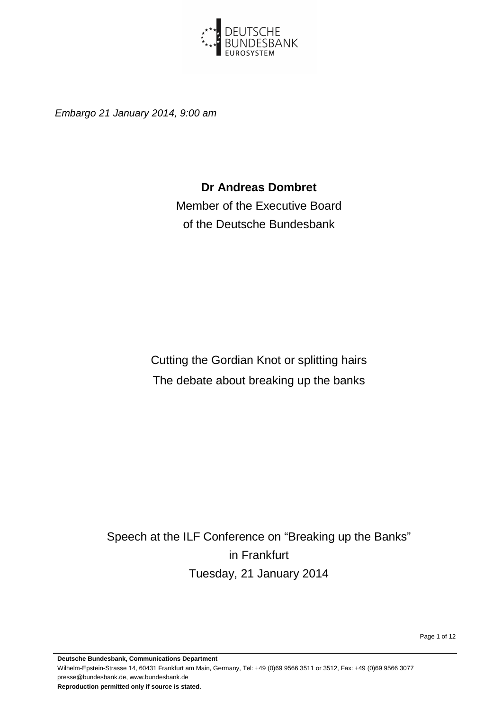

Embargo 21 January 2014, 9:00 am

## **Dr Andreas Dombret**

Member of the Executive Board of the Deutsche Bundesbank

Cutting the Gordian Knot or splitting hairs The debate about breaking up the banks

Speech at the ILF Conference on "Breaking up the Banks" in Frankfurt Tuesday, 21 January 2014

**Deutsche Bundesbank, Communications Department**  Wilhelm-Epstein-Strasse 14, 60431 Frankfurt am Main, Germany, Tel: +49 (0)69 9566 3511 or 3512, Fax: +49 (0)69 9566 3077 presse@bundesbank.de, www.bundesbank.de **Reproduction permitted only if source is stated.**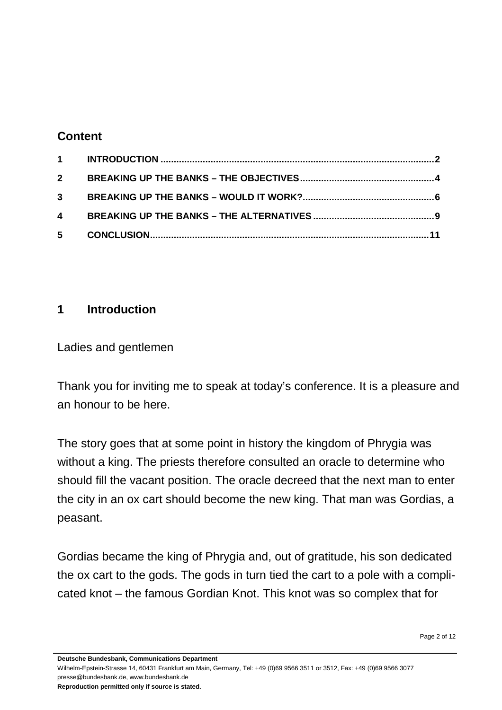## **Content**

### **1 Introduction**

Ladies and gentlemen

Thank you for inviting me to speak at today's conference. It is a pleasure and an honour to be here.

The story goes that at some point in history the kingdom of Phrygia was without a king. The priests therefore consulted an oracle to determine who should fill the vacant position. The oracle decreed that the next man to enter the city in an ox cart should become the new king. That man was Gordias, a peasant.

Gordias became the king of Phrygia and, out of gratitude, his son dedicated the ox cart to the gods. The gods in turn tied the cart to a pole with a complicated knot – the famous Gordian Knot. This knot was so complex that for

**Deutsche Bundesbank, Communications Department** 

Wilhelm-Epstein-Strasse 14, 60431 Frankfurt am Main, Germany, Tel: +49 (0)69 9566 3511 or 3512, Fax: +49 (0)69 9566 3077 presse@bundesbank.de, www.bundesbank.de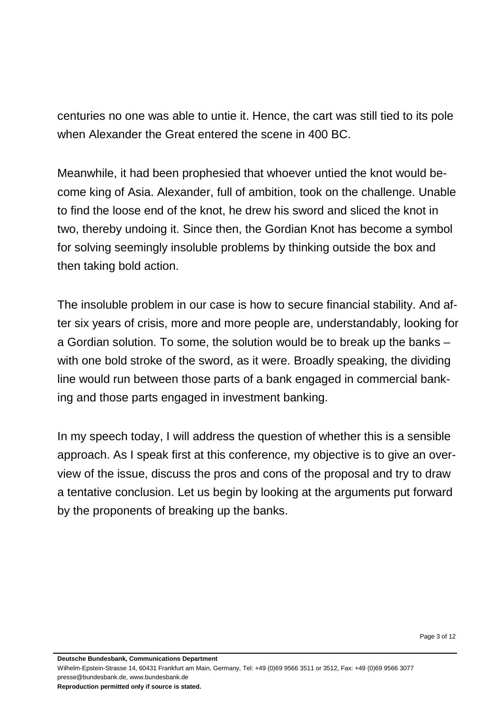centuries no one was able to untie it. Hence, the cart was still tied to its pole when Alexander the Great entered the scene in 400 BC.

Meanwhile, it had been prophesied that whoever untied the knot would become king of Asia. Alexander, full of ambition, took on the challenge. Unable to find the loose end of the knot, he drew his sword and sliced the knot in two, thereby undoing it. Since then, the Gordian Knot has become a symbol for solving seemingly insoluble problems by thinking outside the box and then taking bold action.

The insoluble problem in our case is how to secure financial stability. And after six years of crisis, more and more people are, understandably, looking for a Gordian solution. To some, the solution would be to break up the banks – with one bold stroke of the sword, as it were. Broadly speaking, the dividing line would run between those parts of a bank engaged in commercial banking and those parts engaged in investment banking.

In my speech today, I will address the question of whether this is a sensible approach. As I speak first at this conference, my objective is to give an overview of the issue, discuss the pros and cons of the proposal and try to draw a tentative conclusion. Let us begin by looking at the arguments put forward by the proponents of breaking up the banks.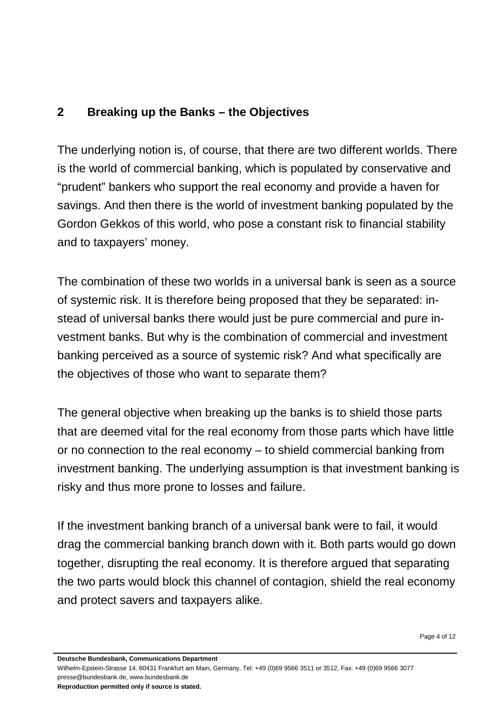# **2 Breaking up the Banks – the Objectives**

The underlying notion is, of course, that there are two different worlds. There is the world of commercial banking, which is populated by conservative and "prudent" bankers who support the real economy and provide a haven for savings. And then there is the world of investment banking populated by the Gordon Gekkos of this world, who pose a constant risk to financial stability and to taxpayers' money.

The combination of these two worlds in a universal bank is seen as a source of systemic risk. It is therefore being proposed that they be separated: instead of universal banks there would just be pure commercial and pure investment banks. But why is the combination of commercial and investment banking perceived as a source of systemic risk? And what specifically are the objectives of those who want to separate them?

The general objective when breaking up the banks is to shield those parts that are deemed vital for the real economy from those parts which have little or no connection to the real economy – to shield commercial banking from investment banking. The underlying assumption is that investment banking is risky and thus more prone to losses and failure.

If the investment banking branch of a universal bank were to fail, it would drag the commercial banking branch down with it. Both parts would go down together, disrupting the real economy. It is therefore argued that separating the two parts would block this channel of contagion, shield the real economy and protect savers and taxpayers alike.

**Deutsche Bundesbank, Communications Department** 

Wilhelm-Epstein-Strasse 14, 60431 Frankfurt am Main, Germany, Tel: +49 (0)69 9566 3511 or 3512, Fax: +49 (0)69 9566 3077 presse@bundesbank.de, www.bundesbank.de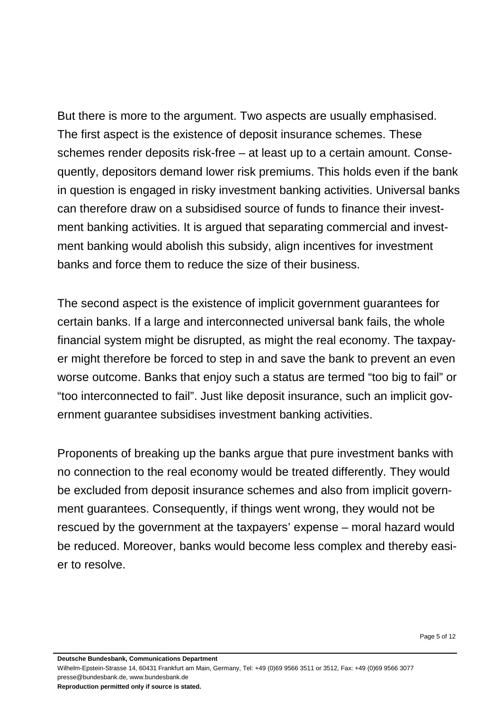But there is more to the argument. Two aspects are usually emphasised. The first aspect is the existence of deposit insurance schemes. These schemes render deposits risk-free – at least up to a certain amount. Consequently, depositors demand lower risk premiums. This holds even if the bank in question is engaged in risky investment banking activities. Universal banks can therefore draw on a subsidised source of funds to finance their investment banking activities. It is argued that separating commercial and investment banking would abolish this subsidy, align incentives for investment banks and force them to reduce the size of their business.

The second aspect is the existence of implicit government guarantees for certain banks. If a large and interconnected universal bank fails, the whole financial system might be disrupted, as might the real economy. The taxpayer might therefore be forced to step in and save the bank to prevent an even worse outcome. Banks that enjoy such a status are termed "too big to fail" or "too interconnected to fail". Just like deposit insurance, such an implicit government guarantee subsidises investment banking activities.

Proponents of breaking up the banks argue that pure investment banks with no connection to the real economy would be treated differently. They would be excluded from deposit insurance schemes and also from implicit government guarantees. Consequently, if things went wrong, they would not be rescued by the government at the taxpayers' expense – moral hazard would be reduced. Moreover, banks would become less complex and thereby easier to resolve.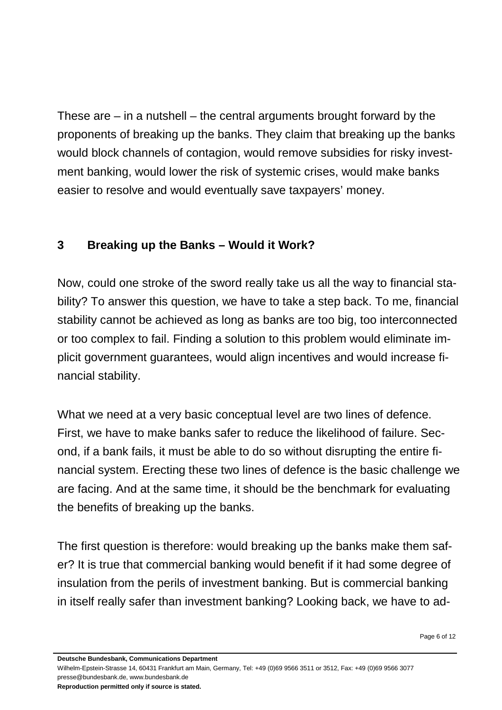These are  $-$  in a nutshell  $-$  the central arguments brought forward by the proponents of breaking up the banks. They claim that breaking up the banks would block channels of contagion, would remove subsidies for risky investment banking, would lower the risk of systemic crises, would make banks easier to resolve and would eventually save taxpayers' money.

# **3 Breaking up the Banks – Would it Work?**

Now, could one stroke of the sword really take us all the way to financial stability? To answer this question, we have to take a step back. To me, financial stability cannot be achieved as long as banks are too big, too interconnected or too complex to fail. Finding a solution to this problem would eliminate implicit government guarantees, would align incentives and would increase financial stability.

What we need at a very basic conceptual level are two lines of defence. First, we have to make banks safer to reduce the likelihood of failure. Second, if a bank fails, it must be able to do so without disrupting the entire financial system. Erecting these two lines of defence is the basic challenge we are facing. And at the same time, it should be the benchmark for evaluating the benefits of breaking up the banks.

The first question is therefore: would breaking up the banks make them safer? It is true that commercial banking would benefit if it had some degree of insulation from the perils of investment banking. But is commercial banking in itself really safer than investment banking? Looking back, we have to ad-

**Deutsche Bundesbank, Communications Department** 

Wilhelm-Epstein-Strasse 14, 60431 Frankfurt am Main, Germany, Tel: +49 (0)69 9566 3511 or 3512, Fax: +49 (0)69 9566 3077 presse@bundesbank.de, www.bundesbank.de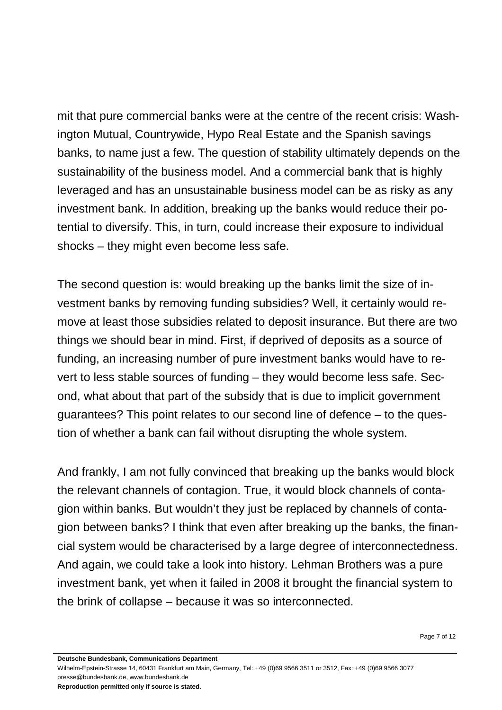mit that pure commercial banks were at the centre of the recent crisis: Washington Mutual, Countrywide, Hypo Real Estate and the Spanish savings banks, to name just a few. The question of stability ultimately depends on the sustainability of the business model. And a commercial bank that is highly leveraged and has an unsustainable business model can be as risky as any investment bank. In addition, breaking up the banks would reduce their potential to diversify. This, in turn, could increase their exposure to individual shocks – they might even become less safe.

The second question is: would breaking up the banks limit the size of investment banks by removing funding subsidies? Well, it certainly would remove at least those subsidies related to deposit insurance. But there are two things we should bear in mind. First, if deprived of deposits as a source of funding, an increasing number of pure investment banks would have to revert to less stable sources of funding – they would become less safe. Second, what about that part of the subsidy that is due to implicit government guarantees? This point relates to our second line of defence – to the question of whether a bank can fail without disrupting the whole system.

And frankly, I am not fully convinced that breaking up the banks would block the relevant channels of contagion. True, it would block channels of contagion within banks. But wouldn't they just be replaced by channels of contagion between banks? I think that even after breaking up the banks, the financial system would be characterised by a large degree of interconnectedness. And again, we could take a look into history. Lehman Brothers was a pure investment bank, yet when it failed in 2008 it brought the financial system to the brink of collapse – because it was so interconnected.

Wilhelm-Epstein-Strasse 14, 60431 Frankfurt am Main, Germany, Tel: +49 (0)69 9566 3511 or 3512, Fax: +49 (0)69 9566 3077 presse@bundesbank.de, www.bundesbank.de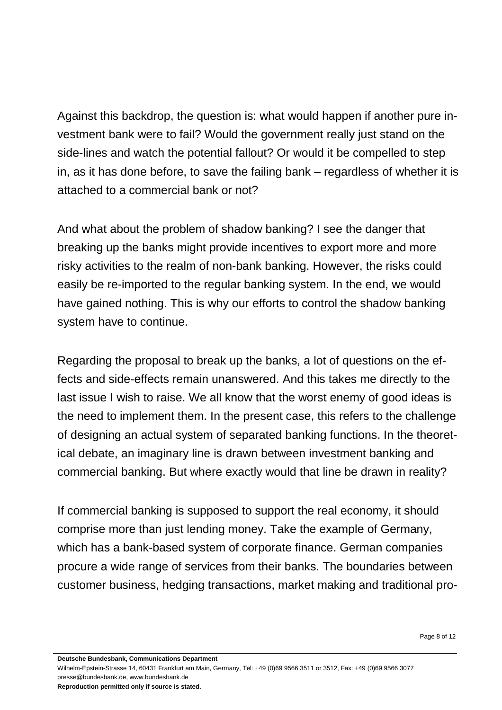Against this backdrop, the question is: what would happen if another pure investment bank were to fail? Would the government really just stand on the side-lines and watch the potential fallout? Or would it be compelled to step in, as it has done before, to save the failing bank – regardless of whether it is attached to a commercial bank or not?

And what about the problem of shadow banking? I see the danger that breaking up the banks might provide incentives to export more and more risky activities to the realm of non-bank banking. However, the risks could easily be re-imported to the regular banking system. In the end, we would have gained nothing. This is why our efforts to control the shadow banking system have to continue.

Regarding the proposal to break up the banks, a lot of questions on the effects and side-effects remain unanswered. And this takes me directly to the last issue I wish to raise. We all know that the worst enemy of good ideas is the need to implement them. In the present case, this refers to the challenge of designing an actual system of separated banking functions. In the theoretical debate, an imaginary line is drawn between investment banking and commercial banking. But where exactly would that line be drawn in reality?

If commercial banking is supposed to support the real economy, it should comprise more than just lending money. Take the example of Germany, which has a bank-based system of corporate finance. German companies procure a wide range of services from their banks. The boundaries between customer business, hedging transactions, market making and traditional pro-

**Deutsche Bundesbank, Communications Department** 

Wilhelm-Epstein-Strasse 14, 60431 Frankfurt am Main, Germany, Tel: +49 (0)69 9566 3511 or 3512, Fax: +49 (0)69 9566 3077 presse@bundesbank.de, www.bundesbank.de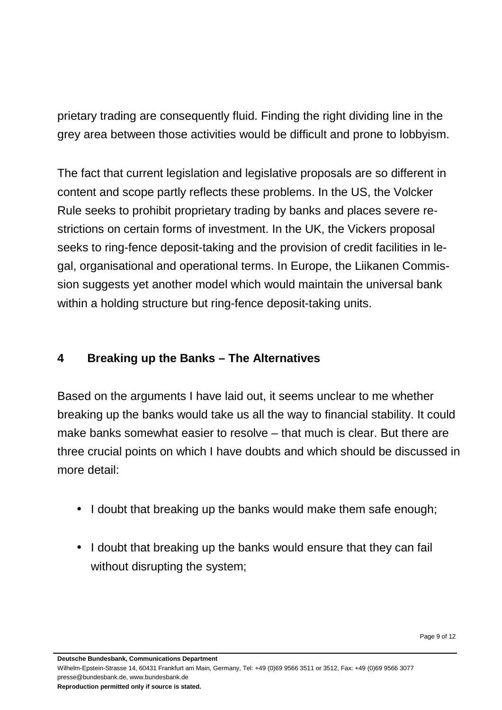prietary trading are consequently fluid. Finding the right dividing line in the grey area between those activities would be difficult and prone to lobbyism.

The fact that current legislation and legislative proposals are so different in content and scope partly reflects these problems. In the US, the Volcker Rule seeks to prohibit proprietary trading by banks and places severe restrictions on certain forms of investment. In the UK, the Vickers proposal seeks to ring-fence deposit-taking and the provision of credit facilities in legal, organisational and operational terms. In Europe, the Liikanen Commission suggests yet another model which would maintain the universal bank within a holding structure but ring-fence deposit-taking units.

# **4 Breaking up the Banks – The Alternatives**

Based on the arguments I have laid out, it seems unclear to me whether breaking up the banks would take us all the way to financial stability. It could make banks somewhat easier to resolve – that much is clear. But there are three crucial points on which I have doubts and which should be discussed in more detail:

- I doubt that breaking up the banks would make them safe enough;
- I doubt that breaking up the banks would ensure that they can fail without disrupting the system;

Page 9 of 12

**Deutsche Bundesbank, Communications Department** 

Wilhelm-Epstein-Strasse 14, 60431 Frankfurt am Main, Germany, Tel: +49 (0)69 9566 3511 or 3512, Fax: +49 (0)69 9566 3077 presse@bundesbank.de, www.bundesbank.de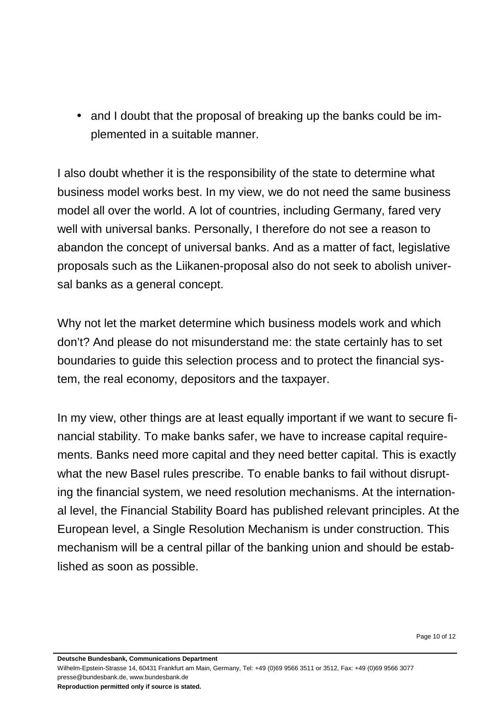• and I doubt that the proposal of breaking up the banks could be implemented in a suitable manner.

I also doubt whether it is the responsibility of the state to determine what business model works best. In my view, we do not need the same business model all over the world. A lot of countries, including Germany, fared very well with universal banks. Personally, I therefore do not see a reason to abandon the concept of universal banks. And as a matter of fact, legislative proposals such as the Liikanen-proposal also do not seek to abolish universal banks as a general concept.

Why not let the market determine which business models work and which don't? And please do not misunderstand me: the state certainly has to set boundaries to guide this selection process and to protect the financial system, the real economy, depositors and the taxpayer.

In my view, other things are at least equally important if we want to secure financial stability. To make banks safer, we have to increase capital requirements. Banks need more capital and they need better capital. This is exactly what the new Basel rules prescribe. To enable banks to fail without disrupting the financial system, we need resolution mechanisms. At the international level, the Financial Stability Board has published relevant principles. At the European level, a Single Resolution Mechanism is under construction. This mechanism will be a central pillar of the banking union and should be established as soon as possible.

Wilhelm-Epstein-Strasse 14, 60431 Frankfurt am Main, Germany, Tel: +49 (0)69 9566 3511 or 3512, Fax: +49 (0)69 9566 3077 presse@bundesbank.de, www.bundesbank.de **Reproduction permitted only if source is stated.**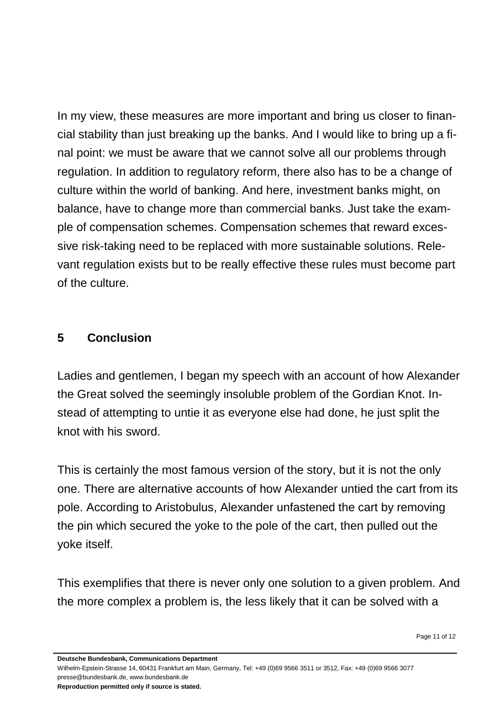In my view, these measures are more important and bring us closer to financial stability than just breaking up the banks. And I would like to bring up a final point: we must be aware that we cannot solve all our problems through regulation. In addition to regulatory reform, there also has to be a change of culture within the world of banking. And here, investment banks might, on balance, have to change more than commercial banks. Just take the example of compensation schemes. Compensation schemes that reward excessive risk-taking need to be replaced with more sustainable solutions. Relevant regulation exists but to be really effective these rules must become part of the culture.

### **5 Conclusion**

Ladies and gentlemen, I began my speech with an account of how Alexander the Great solved the seemingly insoluble problem of the Gordian Knot. Instead of attempting to untie it as everyone else had done, he just split the knot with his sword.

This is certainly the most famous version of the story, but it is not the only one. There are alternative accounts of how Alexander untied the cart from its pole. According to Aristobulus, Alexander unfastened the cart by removing the pin which secured the yoke to the pole of the cart, then pulled out the yoke itself.

This exemplifies that there is never only one solution to a given problem. And the more complex a problem is, the less likely that it can be solved with a

**Deutsche Bundesbank, Communications Department** 

Wilhelm-Epstein-Strasse 14, 60431 Frankfurt am Main, Germany, Tel: +49 (0)69 9566 3511 or 3512, Fax: +49 (0)69 9566 3077 presse@bundesbank.de, www.bundesbank.de